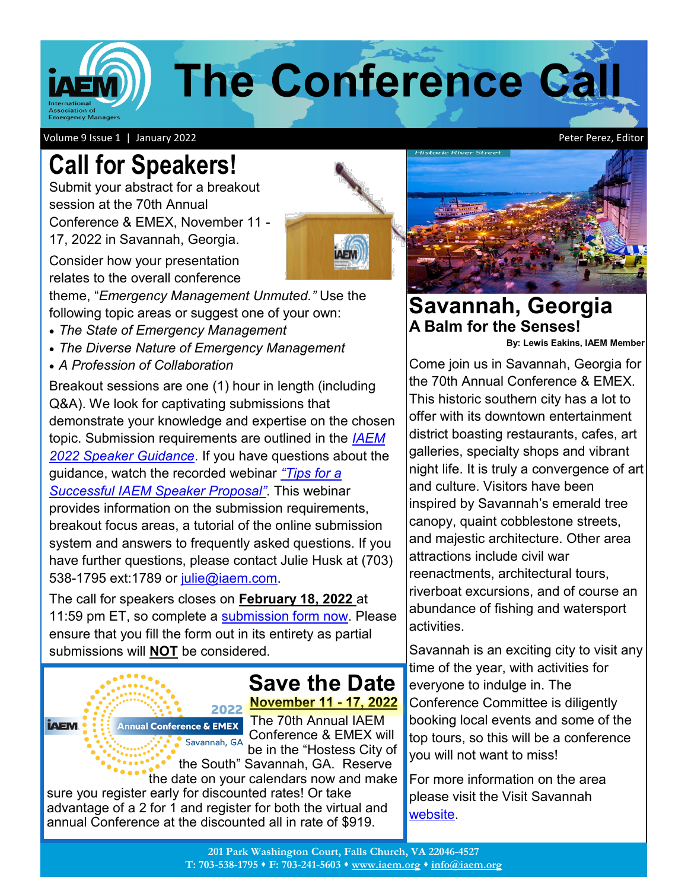**The Conference Ca** 

Volume 9 Issue 1 | January 2022

# **Call for Speakers!**

Submit your abstract for a breakout session at the 70th Annual Conference & EMEX, November 11 - 17, 2022 in Savannah, Georgia.

Consider how your presentation relates to the overall conference

theme, "*Emergency Management Unmuted."* Use the following topic areas or suggest one of your own:

- *The State of Emergency Management*
- *The Diverse Nature of Emergency Management*
- *A Profession of Collaboration*

Breakout sessions are one (1) hour in length (including Q&A). We look for captivating submissions that demonstrate your knowledge and expertise on the chosen topic. Submission requirements are outlined in the *[IAEM](https://www.iaem.org/Portals/IAEMconf/documents/2022/Speaker-Submission-Guidance-2022.pdf)  [2022 Speaker Guidance](https://www.iaem.org/Portals/IAEMconf/documents/2022/Speaker-Submission-Guidance-2022.pdf)*. If you have questions about the guidance, watch the recorded webinar *"[Tips for a](https://www.youtube.com/embed/Lx3Mm8ZQYy8)  [Successful IAEM Speaker Proposal](https://www.youtube.com/embed/Lx3Mm8ZQYy8)"*. This webinar provides information on the submission requirements, breakout focus areas, a tutorial of the online submission system and answers to frequently asked questions. If you have further questions, please contact Julie Husk at (703) 538-1795 ext:1789 or [julie@iaem.com.](mailto:julie@iaem.com?subject=2022%20IAEM%20Speaker%20Question)

The call for speakers closes on **February 18, 2022** at 11:59 pm ET, so complete a [submission form now.](https://www.iaem.org/usconf/speakers) Please ensure that you fill the form out in its entirety as partial submissions will **NOT** be considered.

#### **Save the Date November 11 - 17, 2022** 2022

**Annual Conference & EMEX** Savannah, GA

**iAEM** 

The 70th Annual IAEM Conference & EMEX will be in the "Hostess City of the South" Savannah, GA. Reserve

the date on your calendars now and make sure you register early for discounted rates! Or take advantage of a 2 for 1 and register for both the virtual and annual Conference at the discounted all in rate of \$919.



### **Savannah, Georgia A Balm for the Senses!**

**By: Lewis Eakins, IAEM Member**

Come join us in Savannah, Georgia for the 70th Annual Conference & EMEX. This historic southern city has a lot to offer with its downtown entertainment district boasting restaurants, cafes, art galleries, specialty shops and vibrant night life. It is truly a convergence of art and culture. Visitors have been inspired by Savannah's emerald tree canopy, quaint cobblestone streets, and majestic architecture. Other area attractions include civil war reenactments, architectural tours, riverboat excursions, and of course an abundance of fishing and watersport activities.

Savannah is an exciting city to visit any time of the year, with activities for everyone to indulge in. The Conference Committee is diligently booking local events and some of the top tours, so this will be a conference you will not want to miss!

For more information on the area please visit the Visit Savannah [website.](https://www.visitsavannah.com/?gclsrc=aw.ds&)

Peter Perez, Editor